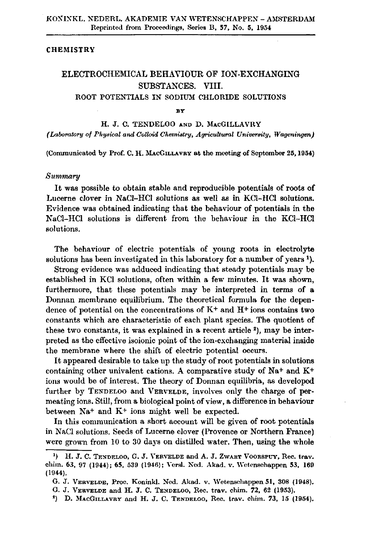## **CHEMISTRY**

## ELECTROCHEMICAL BEHAVIOUR OF ION-EXCHANGING SUBSTANCES. VIII. ROOT POTENTIALS IN SODIUM CHLORIDE SOLUTIONS

## **BY**

H. J. C. TENDELOO AND D. MACGILLAVRY *(Laboratory of Physical and Colloid Chemistry, Agricultural University, Wageningen)* 

(Communicated by Prof. C. H. MACGILLAVRY at the meeting of September 25,1954)

## *Summary*

It was possible to obtain stable and reproducible potentials of roots of Lucerne clover in NaCl-HCl solutions as well as in KC1-HC1 solutions. Evidence was obtained indicating that the behaviour of potentials in the NaCl-HCl solutions is different from the behaviour in the KC1-HC1 solutions.

The behaviour of electric potentials of young roots in electrolyte solutions has been investigated in this laboratory for a number of y

Strong evidence was adduced indicating that steady potentials may be established in KCl solutions, often within a few minutes. It was shown, furthermore, that these potentials may be interpreted in terms of a Donnan membrane equilibrium. The theoretical formula for the dependence of potential on the concentrations of  $K^+$  and  $H^+$  ions contains two constants which are characteristic of each plant species. The quotient of these two constants, it was explained in a recent article<sup>2</sup>), may b preted as the effective isoionic point of the ion-exchanging material inside the membrane where the shift of electric potential occurs.

It appeared desirable to take up the study of root potentials in solutions containing other univalent cations. A comparative study of Na+ and K+ ions would be of interest. The theory of Donnan equilibria, as developed further by TENDELOO and VERVELDE, involves only the charge of permeating ions. Still, from a biological point of view, a difference in behaviour between Na<sup>+</sup> and K<sup>+</sup> ions might well be expe-

In this communication a short account will be given of root potentials in NaCl solutions. Seeds of Lucerne clover (Provence or Northern France) were grown from 10 to 30 days on distilled water. Then, using the whole

<sup>&</sup>lt;sup>1</sup>) H. J. C. TENDELOO, G. J. VERVELDE and A. J. ZWART VOORSPUY, Rec chim. 63, 97 (1944); 65, 539 (1946); Versl. Ned. Akad. v. Wetenschappen 53, 169 (1944).

G. J. VERVELDE, Proc. Koninkl. Ned. Akad. v. Wetenschappen 51, 308 (1948).

G. J. VERVELDE and H. J. C. TENDELOO, Rec. trav. chim. 72, 62 (1953).

<sup>&</sup>lt;sup>2</sup>) D. MACGILLAVRY and H. J. C. TENDELOO, Rec. trav. chim. 73, 15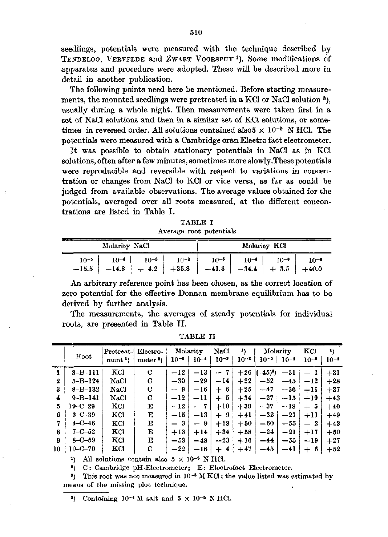seedlings, potentials were measured with the technique described by TENDELOO, VERVELDE and ZWART VOORSPUY<sup>1</sup>). Some modification apparatus and procedure were adopted. These will be described more in detail in another publication.

The following points need here be mentioned. Before starting measurements, the mounted seedlings were pretreated in a KCl or NaCl solution usually during a whole night. Then measurements were taken first in a set of NaCl solutions and then in a similar set of KCl solutions, or sometimes in reversed order. All solutions contained also  $5 \times 10^{-5}$  N HC potentials were measured with a Cambridge oran Electro fact electrometer.

It was possible to obtain stationary potentials in NaCl as in KCl solutions, often after a few minutes, sometimes more slowly.These potentials were reproducible and reversible with respect to variations in concentration or changes from NaCl to KCl or vice versa, as far as could be judged from available observations. The average values obtained for the potentials, averaged over all roots measured, at the different concentrations are listed in Table I.

| TABLE I |  |                         |  |  |  |
|---------|--|-------------------------|--|--|--|
|         |  | Average root potentials |  |  |  |

|                                                                                          | Molarity NaCl          |           |           |           | Molarity KCl |           |
|------------------------------------------------------------------------------------------|------------------------|-----------|-----------|-----------|--------------|-----------|
| $10^{-5}$<br>$-15.5$   $-14.8$   $+4.2$   $+35.8$   $-41.3$   $-34.4$   $+3.5$   $+40.0$ | $10^{-3}$<br>$10^{-4}$ | $10^{-2}$ | $10^{-5}$ | $10^{-4}$ | $10^{-3}$    | $10^{-3}$ |

An arbitrary reference point has been chosen, as the correct location of zero potential for the effective Donnan membrane equilibrium has to be derived by further analysis.

The measurements, the averages of steady potentials for individual roots, are presented in Table II.

|    |               | Pretreat-         | Electro-           |           | Molarity  | <b>NaCl</b>                    | 1)       |             | Molarity  | ĸа           |          |
|----|---------------|-------------------|--------------------|-----------|-----------|--------------------------------|----------|-------------|-----------|--------------|----------|
|    | Root          | ment <sup>1</sup> | meter <sup>2</sup> | $10^{-5}$ | $10^{-4}$ | $10^{-3}$                      | $10 - 2$ | $10^{-5}$   | $10^{-4}$ | $10^{-3}$    | $10 - 1$ |
|    | $3 - B - 111$ | KCI               | C                  | $-12$     | $-13$     | -7<br>$\overline{\phantom{0}}$ | $+26$    | $(-45)^{3}$ | $-31$     |              | $+31$    |
| 2  | $5 - B - 124$ | NaCl              | C                  | $-30$     | $-29$     | $-14$                          | $+22$    | $-52$       | $-45$     | $-12$        | $+28$    |
| 3  | $8 - B - 132$ | NaCl              | C                  | — 9       | $-16$     | -6<br>$^{+}$                   | $+25$    | $-47$       | $-36$     | $+11$        | $+37$    |
| 4  | $9 - B - 141$ | NaCl              | C                  | $-12$     | $-11$     | 5<br>┿                         | $+34$    | $-27$       | $-15$     | $+19$        | $+43$    |
| 5  | $19 - C - 29$ | KCI               | E                  | $-12$     | 7<br>$-$  | $+10^{-}$                      | $+39$    | $-37$       | $-18$     | -5<br>$\div$ | $+40$    |
| 6  | $3 - C - 39$  | KCI               | Е                  | $-15$     | $-13$     | 9<br>$\div$                    | $+41$    | $-32$       | $-27$     | $+11$        | $+49$    |
| 7  | $4 - C - 46$  | KCI               | Е                  | - 3       | 9         | $+18$                          | $+50$    | $-60$       | $-55$     | 2<br>—       | $+43$    |
| 8  | $7 - C - 52$  | KCI               | Е                  | $+13$     | $+14$     | $+34$                          | $+58$    | $-24$       | $-21$     | $+17$        | $+50$    |
| 9  | $8 - C - 59$  | KCI               | Е                  | $-53$     | $-48$     | $-23$                          | $+16$    | $-44$       | $-55$     | $-19$        | $+27$    |
| 10 | $10 - C - 70$ | КCl               | С                  | $-22$     | -16       | $\div$<br>4                    | $+47$    | $-45$       | $-41$     | $^{+}$<br>-6 | $+52$    |

TABLE II

<sup>1</sup>) All solutions contain also  $5 \times 10^{-5}$  N HCl.

<sup>2</sup>) C: Cambridge pH-Electrometer; E: Electrofact Electrome

<sup>3</sup>) This root was not measured in 10<sup>-5</sup> M KCl; the value listed was estin means of the missing plot technique.

<sup>3</sup>) Containing  $10^{-4}$  M salt and  $5 \times 10^{-5}$  N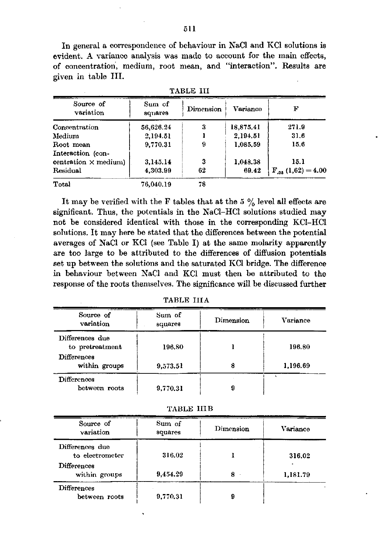In general a correspondence of behaviour in NaCl and KCl solutions is evident. A variance analysis was made to account for the main effects, of concentration, medium, root mean, and "interaction". Results are given in table III.

| Source of<br>variation      | Sum of<br>squares | Dimension | Variance  | F                       |
|-----------------------------|-------------------|-----------|-----------|-------------------------|
| Concentration               | 56,626.24         | 3         | 18,875.41 | 271.9                   |
| Medium                      | 2,194.51          |           | 2.194.51  | 31.6                    |
| Root mean                   | 9,770.31          | 9         | 1,085.59  | 15.6                    |
| Interaction (con-           |                   |           |           |                         |
| centration $\times$ medium) | 3.145.14          | 3         | 1,048.38  | 15.1                    |
| Residual                    | 4,303.99          | 62        | 69.42     | $F_{.05} (1,62) = 4.00$ |
| Total                       | 76.040.19         | 78        |           |                         |

TABLE III

It may be verified with the F tables that at the 5  $\%$  level all effects are significant. Thus, the potentials in the NaCl-HCl solutions studied may not be considered identical with those in the corresponding KC1-HC1 solutions. It may here be stated that the differences between the potential averages of NaCl or KCl (see Table I) at the same molarity apparently are too large to be attributed to the differences of diffusion potentials set up between the solutions and the saturated KCl bridge. The difference in behaviour between NaCl and KCl must then be attributed to the response of the roots themselves. The significance will be discussed further

| Source of<br>variation              | Sum of<br>squares | Dimension | Variance |
|-------------------------------------|-------------------|-----------|----------|
| Differences due<br>to pretreatment  | 196.80            |           | 196.80   |
| <b>Differences</b><br>within groups | 9,573.51          | 8         | 1,196.69 |
| <b>Differences</b><br>between roots | 9,770.31          |           |          |

|  |  |  |  | TABLE IIIA |  |
|--|--|--|--|------------|--|
|--|--|--|--|------------|--|

| TABLE IIIB |  |  |
|------------|--|--|
|------------|--|--|

| Source of<br>variation              | Sum of<br>squares | Dimension | Variance |
|-------------------------------------|-------------------|-----------|----------|
| Differences due<br>to electrometer  | 316.02            |           | 316.02   |
| <b>Differences</b><br>within groups | 9,454.29          | 8         | 1,181.79 |
| <b>Differences</b><br>between roots | 9,770.31          |           |          |